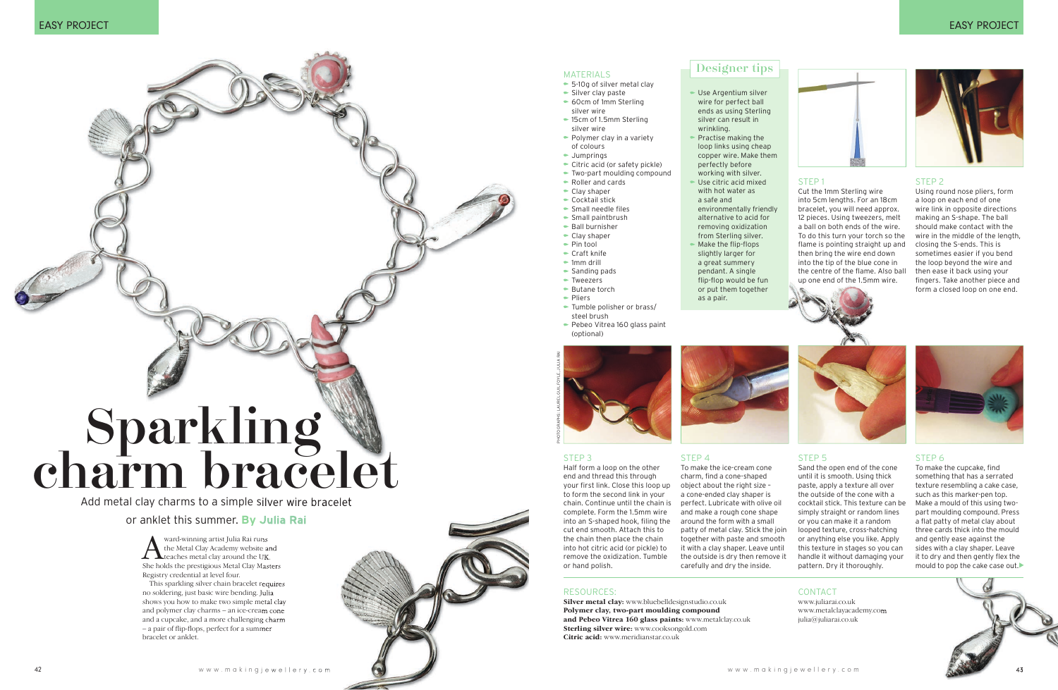

Add metal clay charms to a simple silver wire bracelet

# or anklet this summer. **By Julia Rai**

#### STEP 1

Cut the 1mm Sterling wire into 5cm lengths. For an 18cm bracelet, you will need approx. 12 pieces. Using tweezers, melt a ball on both ends of the wire. To do this turn your torch so the flame is pointing straight up and then bring the wire end down into the tip of the blue cone in the centre of the flame. Also ball up one end of the 1.5mm wire.



#### STEP 2

Using round nose pliers, form a loop on each end of one wire link in opposite directions making an S-shape. The ball should make contact with the wire in the middle of the length, closing the S-ends. This is sometimes easier if you bend the loop beyond the wire and then ease it back using your fingers. Take another piece and form a closed loop on one end.

#### STEP 3

To make the cupcake, find something that has a serrated texture resembling a cake case, such as this marker-pen top. Make a mould of this using twopart moulding compound. Press a flat patty of metal clay about three cards thick into the mould and gently ease against the sides with a clay shaper. Leave it to dry and then gently flex the mould to pop the cake case out.

Half form a loop on the other end and thread this through your first link. Close this loop up to form the second link in your chain. Continue until the chain is complete. Form the 1.5mm wire into an S-shaped hook, filing the cut end smooth. Attach this to the chain then place the chain into hot citric acid (or pickle) to remove the oxidization. Tumble or hand polish.

STEP 4

# **EASY PROJECT**



## STEP 5

Sand the open end of the cone until it is smooth. Using thick paste, apply a texture all over the outside of the cone with a cocktail stick. This texture can be simply straight or random lines or you can make it a random looped texture, cross-hatching or anything else you like. Apply this texture in stages so you can handle it without damaging your pattern. Dry it thoroughly.



Ward-winning artist Julia Rai runs<br>the Metal Clay Academy website an<br>She bolds the prestigious Metal Clay Mast the Metal Clay Academy website and She holds the prestigious Metal Clay Masters Registry credential at level four.

#### STEP 6

#### MATERIALS

- 5-10g of silver metal clay
- Silver clay paste
- 60cm of 1mm Sterling silver wire
- ► 15cm of 1.5mm Sterling silver wire
- Polymer clay in a variety of colours
- Jumprings
- Citric acid (or safety pickle)
- Two-part moulding compound
- Roller and cards
- Clay shaper
- ► Cocktail stick
- Small needle files
- Small paintbrush
- $\bullet$  Ball burnisher
- Clay shaper
- Pin tool
- ► Craft knife
- $\bullet$  1mm drill
- Sanding pads
- Tweezers
- ► Butane torch
- Pliers
- Tumble polisher or brass/ steel brush
- Pebeo Vitrea 160 glass paint (optional)

# Designer tips

- Use Argentium silver wire for perfect ball ends as using Sterling silver can result in
- wrinkling. **Practise making the** loop links using cheap copper wire. Make them perfectly before working with silver. Use citric acid mixed with hot water as a safe and environmentally friendly alternative to acid for removing oxidization from Sterling silver. Make the flip-flops slightly larger for a great summery pendant. A single flip-flop would be fun or put them together



as a pair.



#### RESoURCES:

**Silver metal clay:** www.bluebelldesignstudio.co.uk **Polymer clay, two-part moulding compound and Pebeo Vitrea 160 glass paints:** www.metalclay.co.uk **Sterling silver wire:** www.cooksongold.com **Citric acid:** www.meridianstar.co.uk

This sparkling silver chain bracelet requires no soldering, just basic wire bending. Julia shows you how to make two simple metal clay and polymer clay charms – an ice-cream cone and a cupcake, and a more challenging charm – a pair of flip-flops, perfect for a summer bracelet or anklet.

### CoNTACT

www.juliarai.co.uk www.metalclayacademy.com julia@juliarai.co.uk



# charm bracelet Sparkling